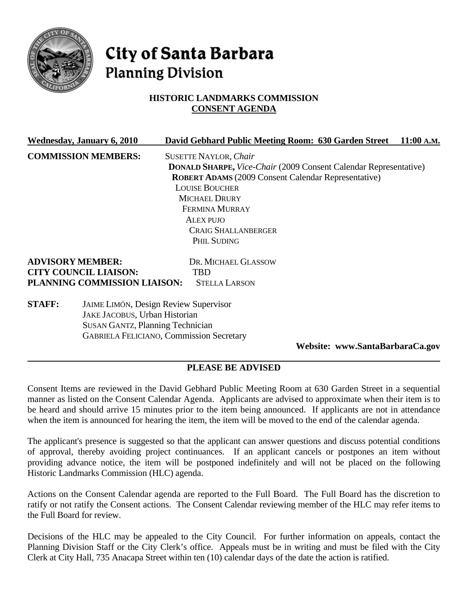

# **City of Santa Barbara Planning Division**

## **HISTORIC LANDMARKS COMMISSION CONSENT AGENDA**

|                              | <b>Wednesday, January 6, 2010</b>            | David Gebhard Public Meeting Room: 630 Garden Street                    | 11:00 A.M. |  |
|------------------------------|----------------------------------------------|-------------------------------------------------------------------------|------------|--|
|                              | <b>COMMISSION MEMBERS:</b>                   | <b>SUSETTE NAYLOR, Chair</b>                                            |            |  |
|                              |                                              | <b>DONALD SHARPE, Vice-Chair (2009 Consent Calendar Representative)</b> |            |  |
|                              |                                              | <b>ROBERT ADAMS</b> (2009 Consent Calendar Representative)              |            |  |
|                              |                                              | <b>LOUISE BOUCHER</b>                                                   |            |  |
|                              |                                              | <b>MICHAEL DRURY</b>                                                    |            |  |
|                              |                                              | <b>FERMINA MURRAY</b>                                                   |            |  |
|                              |                                              | ALEX PUJO                                                               |            |  |
|                              |                                              | <b>CRAIG SHALLANBERGER</b>                                              |            |  |
|                              |                                              | PHIL SUDING                                                             |            |  |
| <b>ADVISORY MEMBER:</b>      |                                              | DR. MICHAEL GLASSOW                                                     |            |  |
| <b>CITY COUNCIL LIAISON:</b> |                                              | TBD                                                                     |            |  |
|                              | PLANNING COMMISSION LIAISON:                 | <b>STELLA LARSON</b>                                                    |            |  |
| <b>STAFF:</b>                | <b>JAIME LIMÓN, Design Review Supervisor</b> |                                                                         |            |  |
|                              | JAKE JACOBUS, Urban Historian                |                                                                         |            |  |
|                              | <b>SUSAN GANTZ, Planning Technician</b>      |                                                                         |            |  |

**Website: www.SantaBarbaraCa.gov** 

## **PLEASE BE ADVISED**

GABRIELA FELICIANO, Commission Secretary

Consent Items are reviewed in the David Gebhard Public Meeting Room at 630 Garden Street in a sequential manner as listed on the Consent Calendar Agenda. Applicants are advised to approximate when their item is to be heard and should arrive 15 minutes prior to the item being announced. If applicants are not in attendance when the item is announced for hearing the item, the item will be moved to the end of the calendar agenda.

The applicant's presence is suggested so that the applicant can answer questions and discuss potential conditions of approval, thereby avoiding project continuances. If an applicant cancels or postpones an item without providing advance notice, the item will be postponed indefinitely and will not be placed on the following Historic Landmarks Commission (HLC) agenda.

Actions on the Consent Calendar agenda are reported to the Full Board. The Full Board has the discretion to ratify or not ratify the Consent actions. The Consent Calendar reviewing member of the HLC may refer items to the Full Board for review.

Decisions of the HLC may be appealed to the City Council. For further information on appeals, contact the Planning Division Staff or the City Clerk's office. Appeals must be in writing and must be filed with the City Clerk at City Hall, 735 Anacapa Street within ten (10) calendar days of the date the action is ratified.